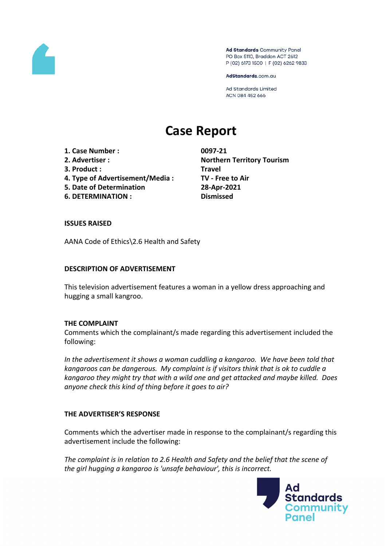

Ad Standards Community Panel PO Box 5110, Braddon ACT 2612 P (02) 6173 1500 | F (02) 6262 9833

AdStandards.com.au

Ad Standards Limited ACN 084 452 666

# **Case Report**

**1. Case Number : 0097-21**

- 
- **3. Product : Travel**
- **4. Type of Advertisement/Media : TV - Free to Air**
- **5. Date of Determination 28-Apr-2021**

**6. DETERMINATION : Dismissed**

**2. Advertiser : Northern Territory Tourism**

## **ISSUES RAISED**

AANA Code of Ethics\2.6 Health and Safety

## **DESCRIPTION OF ADVERTISEMENT**

This television advertisement features a woman in a yellow dress approaching and hugging a small kangroo.

#### **THE COMPLAINT**

Comments which the complainant/s made regarding this advertisement included the following:

*In the advertisement it shows a woman cuddling a kangaroo. We have been told that kangaroos can be dangerous. My complaint is if visitors think that is ok to cuddle a kangaroo they might try that with a wild one and get attacked and maybe killed. Does anyone check this kind of thing before it goes to air?*

#### **THE ADVERTISER'S RESPONSE**

Comments which the advertiser made in response to the complainant/s regarding this advertisement include the following:

*The complaint is in relation to 2.6 Health and Safety and the belief that the scene of the girl hugging a kangaroo is 'unsafe behaviour', this is incorrect.*

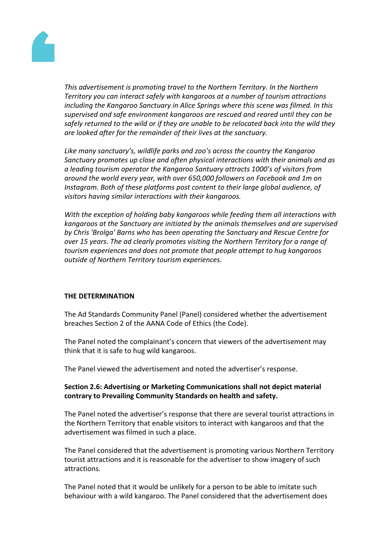

*This advertisement is promoting travel to the Northern Territory. In the Northern Territory you can interact safely with kangaroos at a number of tourism attractions including the Kangaroo Sanctuary in Alice Springs where this scene was filmed. In this supervised and safe environment kangaroos are rescued and reared until they can be safely returned to the wild or if they are unable to be relocated back into the wild they are looked after for the remainder of their lives at the sanctuary.*

*Like many sanctuary's, wildlife parks and zoo's across the country the Kangaroo Sanctuary promotes up close and often physical interactions with their animals and as a leading tourism operator the Kangaroo Santuary attracts 1000's of visitors from around the world every year, with over 650,000 followers on Facebook and 1m on Instagram. Both of these platforms post content to their large global audience, of visitors having similar interactions with their kangaroos.*

*With the exception of holding baby kangaroos while feeding them all interactions with kangaroos at the Sanctuary are initiated by the animals themselves and are supervised by Chris 'Brolga' Barns who has been operating the Sanctuary and Rescue Centre for over 15 years. The ad clearly promotes visiting the Northern Territory for a range of tourism experiences and does not promote that people attempt to hug kangaroos outside of Northern Territory tourism experiences.*

#### **THE DETERMINATION**

The Ad Standards Community Panel (Panel) considered whether the advertisement breaches Section 2 of the AANA Code of Ethics (the Code).

The Panel noted the complainant's concern that viewers of the advertisement may think that it is safe to hug wild kangaroos.

The Panel viewed the advertisement and noted the advertiser's response.

## **Section 2.6: Advertising or Marketing Communications shall not depict material contrary to Prevailing Community Standards on health and safety.**

The Panel noted the advertiser's response that there are several tourist attractions in the Northern Territory that enable visitors to interact with kangaroos and that the advertisement was filmed in such a place.

The Panel considered that the advertisement is promoting various Northern Territory tourist attractions and it is reasonable for the advertiser to show imagery of such attractions.

The Panel noted that it would be unlikely for a person to be able to imitate such behaviour with a wild kangaroo. The Panel considered that the advertisement does